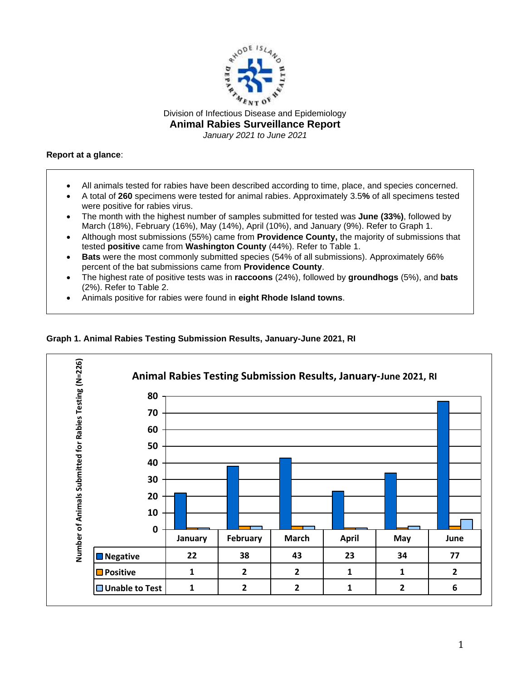

## **Report at a glance**:

- All animals tested for rabies have been described according to time, place, and species concerned.
- A total of **260** specimens were tested for animal rabies. Approximately 3.5**%** of all specimens tested were positive for rabies virus.
- The month with the highest number of samples submitted for tested was **June (33%)**, followed by March (18%), February (16%), May (14%), April (10%), and January (9%). Refer to Graph 1.
- Although most submissions (55%) came from **Providence County,** the majority of submissions that tested **positive** came from **Washington County** (44%). Refer to Table 1.
- **Bats** were the most commonly submitted species (54% of all submissions). Approximately 66% percent of the bat submissions came from **Providence County**.
- The highest rate of positive tests was in **raccoons** (24%), followed by **groundhogs** (5%), and **bats** (2%). Refer to Table 2.
- Animals positive for rabies were found in **eight Rhode Island towns**.

## **Graph 1. Animal Rabies Testing Submission Results, January-June 2021, RI**

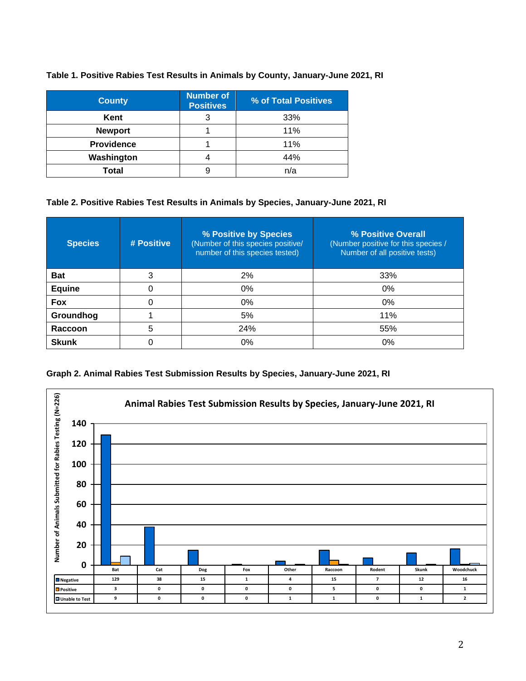| <b>County</b>     | <b>Number of</b><br><b>Positives</b> | % of Total Positives |  |
|-------------------|--------------------------------------|----------------------|--|
| Kent              | 3                                    | 33%                  |  |
| <b>Newport</b>    |                                      | 11%                  |  |
| <b>Providence</b> |                                      | 11%                  |  |
| Washington        |                                      | 44%                  |  |
| Total             | 9                                    | n/a                  |  |

## **Table 1. Positive Rabies Test Results in Animals by County, January-June 2021, RI**

## **Table 2. Positive Rabies Test Results in Animals by Species, January-June 2021, RI**

| <b>Species</b> | # Positive | % Positive by Species<br>(Number of this species positive/<br>number of this species tested) | % Positive Overall<br>(Number positive for this species /<br>Number of all positive tests) |  |
|----------------|------------|----------------------------------------------------------------------------------------------|--------------------------------------------------------------------------------------------|--|
| <b>Bat</b>     | 3          | 2%                                                                                           | 33%                                                                                        |  |
| Equine         | 0          | 0%                                                                                           | 0%                                                                                         |  |
| <b>Fox</b>     | 0          | $0\%$                                                                                        | $0\%$                                                                                      |  |
| Groundhog      |            | 5%                                                                                           | 11%                                                                                        |  |
| Raccoon        | 5          | 24%                                                                                          | 55%                                                                                        |  |
| <b>Skunk</b>   | 0          | 0%                                                                                           | 0%                                                                                         |  |



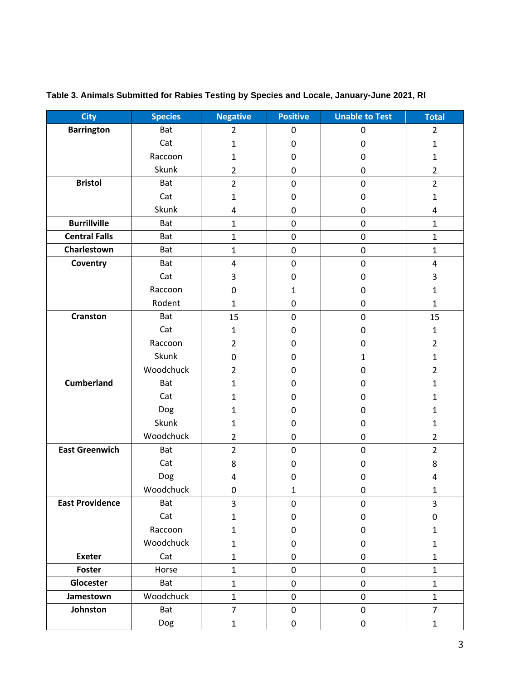| <b>City</b>            | <b>Species</b> | <b>Negative</b>         | <b>Positive</b> | <b>Unable to Test</b> | <b>Total</b>   |
|------------------------|----------------|-------------------------|-----------------|-----------------------|----------------|
| <b>Barrington</b>      | Bat            | $\overline{2}$          | 0               | $\pmb{0}$             | $\overline{2}$ |
|                        | Cat            | $\mathbf{1}$            | $\pmb{0}$       | $\pmb{0}$             | $\mathbf 1$    |
|                        | Raccoon        | $\mathbf{1}$            | $\pmb{0}$       | $\mathbf 0$           | $\mathbf{1}$   |
|                        | Skunk          | $\overline{2}$          | $\pmb{0}$       | $\pmb{0}$             | $\overline{2}$ |
| <b>Bristol</b>         | Bat            | $\overline{2}$          | $\pmb{0}$       | $\pmb{0}$             | $\overline{2}$ |
|                        | Cat            | $\mathbf{1}$            | 0               | $\boldsymbol{0}$      | $\mathbf{1}$   |
|                        | Skunk          | 4                       | $\pmb{0}$       | 0                     | 4              |
| <b>Burrillville</b>    | <b>Bat</b>     | $\mathbf{1}$            | $\pmb{0}$       | $\pmb{0}$             | $\mathbf{1}$   |
| <b>Central Falls</b>   | <b>Bat</b>     | $\mathbf{1}$            | $\mathbf 0$     | $\mathbf 0$           | $\mathbf{1}$   |
| Charlestown            | Bat            | $\mathbf 1$             | $\pmb{0}$       | $\pmb{0}$             | $\mathbf{1}$   |
| Coventry               | Bat            | $\overline{\mathbf{4}}$ | $\pmb{0}$       | $\pmb{0}$             | 4              |
|                        | Cat            | 3                       | $\pmb{0}$       | $\boldsymbol{0}$      | 3              |
|                        | Raccoon        | 0                       | 1               | $\pmb{0}$             | $\mathbf{1}$   |
|                        | Rodent         | $\mathbf{1}$            | 0               | $\pmb{0}$             | $\mathbf{1}$   |
| <b>Cranston</b>        | Bat            | 15                      | $\mathbf 0$     | $\mathbf 0$           | 15             |
|                        | Cat            | $\mathbf{1}$            | $\pmb{0}$       | $\boldsymbol{0}$      | $\mathbf{1}$   |
|                        | Raccoon        | $\overline{2}$          | 0               | 0                     | $\overline{2}$ |
|                        | Skunk          | 0                       | $\pmb{0}$       | 1                     | $\mathbf{1}$   |
|                        | Woodchuck      | $\overline{2}$          | $\pmb{0}$       | $\pmb{0}$             | $\overline{2}$ |
| <b>Cumberland</b>      | <b>Bat</b>     | $\mathbf{1}$            | $\mathbf 0$     | $\pmb{0}$             | $\mathbf{1}$   |
|                        | Cat            | 1                       | $\pmb{0}$       | 0                     | $\mathbf{1}$   |
|                        | Dog            | $\mathbf{1}$            | 0               | 0                     | $\mathbf{1}$   |
|                        | Skunk          | 1                       | $\pmb{0}$       | 0                     | $\mathbf{1}$   |
|                        | Woodchuck      | $\overline{2}$          | $\pmb{0}$       | 0                     | $\overline{2}$ |
| <b>East Greenwich</b>  | Bat            | $\overline{2}$          | $\pmb{0}$       | $\pmb{0}$             | $\overline{2}$ |
|                        | Cat            | 8                       | $\pmb{0}$       | $\mathbf 0$           | 8              |
|                        | Dog            | 4                       | 0               | 0                     | 4              |
|                        | Woodchuck      | 0                       | 1               | $\pmb{0}$             | $\mathbf 1$    |
| <b>East Providence</b> | Bat            | 3                       | 0               | 0                     | 3              |
|                        | Cat            | $\mathbf{1}$            | 0               | $\pmb{0}$             | 0              |
|                        | Raccoon        | 1                       | 0               | 0                     | $\mathbf{1}$   |
|                        | Woodchuck      | $\mathbf{1}$            | 0               | $\pmb{0}$             | $\mathbf{1}$   |
| <b>Exeter</b>          | Cat            | 1                       | $\mathbf 0$     | $\mathbf 0$           | $\mathbf{1}$   |
| Foster                 | Horse          | $\mathbf 1$             | $\pmb{0}$       | $\pmb{0}$             | $\mathbf{1}$   |
| Glocester              | Bat            | $\mathbf{1}$            | $\pmb{0}$       | $\pmb{0}$             | $\mathbf{1}$   |
| Jamestown              | Woodchuck      | $\mathbf{1}$            | $\pmb{0}$       | $\mathbf 0$           | $\mathbf{1}$   |
| Johnston               | Bat            | $\overline{7}$          | $\pmb{0}$       | $\pmb{0}$             | $\overline{7}$ |
|                        | Dog            | $\mathbf{1}$            | 0               | $\pmb{0}$             | $\mathbf{1}$   |

**Table 3. Animals Submitted for Rabies Testing by Species and Locale, January-June 2021, RI**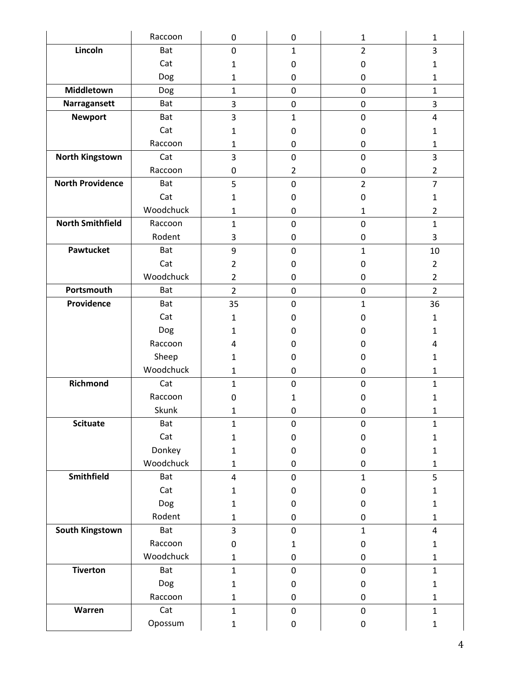|                         | Raccoon    | 0              | 0                | $\mathbf{1}$   | 1              |
|-------------------------|------------|----------------|------------------|----------------|----------------|
| Lincoln                 | Bat        | $\mathbf 0$    | $\mathbf{1}$     | $\overline{2}$ | 3              |
|                         | Cat        | 1              | $\mathbf 0$      | 0              | $\mathbf{1}$   |
|                         | Dog        | 1              | 0                | 0              | $\mathbf{1}$   |
| Middletown              | Dog        | $\mathbf{1}$   | $\pmb{0}$        | $\pmb{0}$      | $\mathbf{1}$   |
| Narragansett            | <b>Bat</b> | 3              | $\mathbf 0$      | $\pmb{0}$      | 3              |
| <b>Newport</b>          | <b>Bat</b> | 3              | $\mathbf{1}$     | $\mathbf 0$    | 4              |
|                         | Cat        | $\mathbf{1}$   | $\mathbf 0$      | 0              | $\mathbf{1}$   |
|                         | Raccoon    | 1              | 0                | 0              | 1              |
| <b>North Kingstown</b>  | Cat        | 3              | $\pmb{0}$        | $\mathbf 0$    | 3              |
|                         | Raccoon    | 0              | $\overline{2}$   | 0              | $\overline{2}$ |
| <b>North Providence</b> | <b>Bat</b> | 5              | $\mathbf 0$      | $\overline{2}$ | $\overline{7}$ |
|                         | Cat        | 1              | $\mathbf 0$      | 0              | 1              |
|                         | Woodchuck  | 1              | 0                | 1              | $\overline{2}$ |
| <b>North Smithfield</b> | Raccoon    | $\mathbf{1}$   | $\pmb{0}$        | $\pmb{0}$      | $\mathbf{1}$   |
|                         | Rodent     | 3              | $\pmb{0}$        | 0              | 3              |
| Pawtucket               | Bat        | 9              | $\mathbf 0$      | $\mathbf{1}$   | 10             |
|                         | Cat        | $\overline{2}$ | 0                | 0              | $\overline{2}$ |
|                         | Woodchuck  | $\overline{2}$ | $\pmb{0}$        | 0              | $\overline{2}$ |
| Portsmouth              | Bat        | $\overline{2}$ | $\pmb{0}$        | 0              | $\overline{2}$ |
| Providence              | <b>Bat</b> | 35             | $\pmb{0}$        | $\mathbf{1}$   | 36             |
|                         | Cat        | 1              | 0                | 0              | $\mathbf{1}$   |
|                         | Dog        | 1              | 0                | 0              | 1              |
|                         | Raccoon    | 4              | 0                | 0              | 4              |
|                         | Sheep      | 1              | 0                | 0              | 1              |
|                         | Woodchuck  | $\mathbf{1}$   | 0                | 0              | $\mathbf{1}$   |
| <b>Richmond</b>         | Cat        | $\mathbf{1}$   | $\mathbf 0$      | 0              | $\mathbf{1}$   |
|                         | Raccoon    | 0              | 1                | 0              | 1              |
|                         | Skunk      | 1              | 0                | 0              | 1              |
| <b>Scituate</b>         | Bat        | $\mathbf{1}$   | $\boldsymbol{0}$ | $\pmb{0}$      | $\mathbf{1}$   |
|                         | Cat        | $\mathbf{1}$   | $\pmb{0}$        | 0              | $\mathbf{1}$   |
|                         | Donkey     | $\mathbf{1}$   | $\pmb{0}$        | $\pmb{0}$      | $\mathbf{1}$   |
|                         | Woodchuck  | $\mathbf{1}$   | $\pmb{0}$        | 0              | $\mathbf{1}$   |
| Smithfield              | Bat        | $\overline{4}$ | $\pmb{0}$        | $\mathbf{1}$   | 5              |
|                         | Cat        | $\mathbf{1}$   | $\boldsymbol{0}$ | 0              | $\mathbf{1}$   |
|                         | Dog        | $\mathbf{1}$   | $\pmb{0}$        | 0              | $\mathbf{1}$   |
|                         | Rodent     | $\mathbf{1}$   | $\pmb{0}$        | 0              | $\mathbf{1}$   |
| South Kingstown         | Bat        | 3              | $\mathbf 0$      | $\mathbf{1}$   | 4              |
|                         | Raccoon    | $\pmb{0}$      | $\mathbf 1$      | 0              | $\mathbf{1}$   |
|                         | Woodchuck  | $\mathbf{1}$   | 0                | 0              | $\mathbf{1}$   |
| <b>Tiverton</b>         | Bat        | $\mathbf{1}$   | $\mathbf 0$      | $\mathbf 0$    | $\mathbf{1}$   |
|                         | Dog        | $\mathbf{1}$   | $\boldsymbol{0}$ | $\pmb{0}$      | $\mathbf{1}$   |
|                         | Raccoon    | $\mathbf{1}$   | $\pmb{0}$        | 0              | $\mathbf{1}$   |
| Warren                  | Cat        | $\mathbf{1}$   | $\pmb{0}$        | $\pmb{0}$      | $\mathbf{1}$   |
|                         | Opossum    | $\mathbf{1}$   | $\pmb{0}$        | $\pmb{0}$      | $\mathbf 1$    |